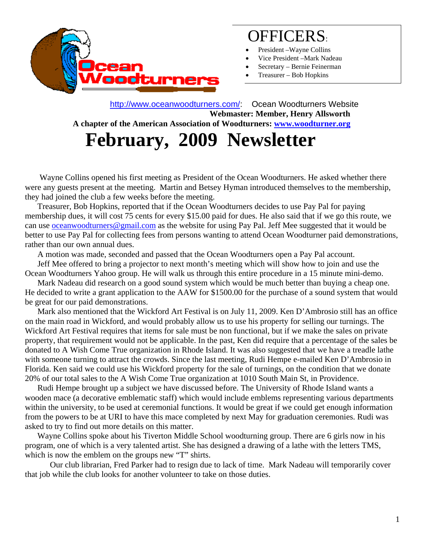

## OFFICERS:

- President Wayne Collins
- Vice President –Mark Nadeau
- Secretary Bernie Feinerman
- Treasurer Bob Hopkins

 http://www.oceanwoodturners.com/: Ocean Woodturners Website **Webmaster: Member, Henry Allsworth A chapter of the American Association of Woodturners: www.woodturner.org** 

# **February, 2009 Newsletter**

Wayne Collins opened his first meeting as President of the Ocean Woodturners. He asked whether there were any guests present at the meeting. Martin and Betsey Hyman introduced themselves to the membership, they had joined the club a few weeks before the meeting.

 Treasurer, Bob Hopkins, reported that if the Ocean Woodturners decides to use Pay Pal for paying membership dues, it will cost 75 cents for every \$15.00 paid for dues. He also said that if we go this route, we can use oceanwoodturners@gmail.com as the website for using Pay Pal. Jeff Mee suggested that it would be better to use Pay Pal for collecting fees from persons wanting to attend Ocean Woodturner paid demonstrations, rather than our own annual dues.

A motion was made, seconded and passed that the Ocean Woodturners open a Pay Pal account.

 Jeff Mee offered to bring a projector to next month's meeting which will show how to join and use the Ocean Woodturners Yahoo group. He will walk us through this entire procedure in a 15 minute mini-demo.

 Mark Nadeau did research on a good sound system which would be much better than buying a cheap one. He decided to write a grant application to the AAW for \$1500.00 for the purchase of a sound system that would be great for our paid demonstrations.

 Mark also mentioned that the Wickford Art Festival is on July 11, 2009. Ken D'Ambrosio still has an office on the main road in Wickford, and would probably allow us to use his property for selling our turnings. The Wickford Art Festival requires that items for sale must be non functional, but if we make the sales on private property, that requirement would not be applicable. In the past, Ken did require that a percentage of the sales be donated to A Wish Come True organization in Rhode Island. It was also suggested that we have a treadle lathe with someone turning to attract the crowds. Since the last meeting, Rudi Hempe e-mailed Ken D'Ambrosio in Florida. Ken said we could use his Wickford property for the sale of turnings, on the condition that we donate 20% of our total sales to the A Wish Come True organization at 1010 South Main St, in Providence.

Rudi Hempe brought up a subject we have discussed before. The University of Rhode Island wants a wooden mace (a decorative emblematic staff) which would include emblems representing various departments within the university, to be used at ceremonial functions. It would be great if we could get enough information from the powers to be at URI to have this mace completed by next May for graduation ceremonies. Rudi was asked to try to find out more details on this matter.

 Wayne Collins spoke about his Tiverton Middle School woodturning group. There are 6 girls now in his program, one of which is a very talented artist. She has designed a drawing of a lathe with the letters TMS, which is now the emblem on the groups new "T" shirts.

Our club librarian, Fred Parker had to resign due to lack of time. Mark Nadeau will temporarily cover that job while the club looks for another volunteer to take on those duties.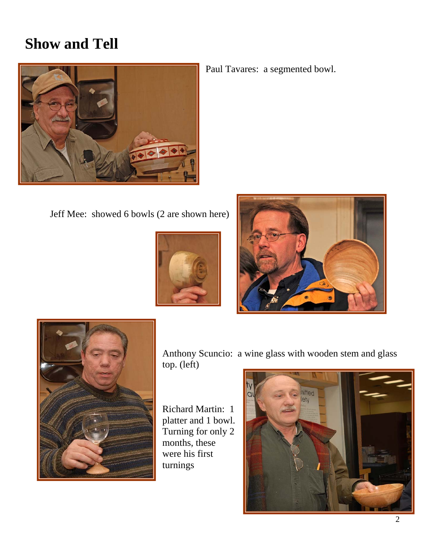### **Show and Tell**



Paul Tavares: a segmented bowl.

Jeff Mee: showed 6 bowls (2 are shown here)







Anthony Scuncio: a wine glass with wooden stem and glass top. (left)

Richard Martin: 1 platter and 1 bowl. Turning for only 2 months, these were his first turnings

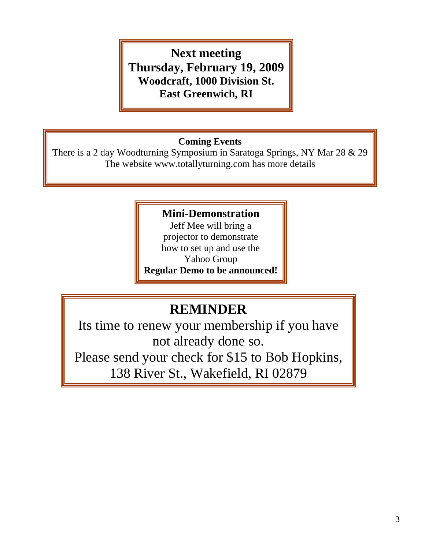### **Next meeting Thursday, February 19, 2009 Woodcraft, 1000 Division St. East Greenwich, RI**

#### **Coming Events**

There is a 2 day Woodturning Symposium in Saratoga Springs, NY Mar 28 & 29 The website www.totallyturning.com has more details

#### **Mini-Demonstration**

Jeff Mee will bring a projector to demonstrate how to set up and use the Yahoo Group **Regular Demo to be announced!**

### **REMINDER**

Its time to renew your membership if you have not already done so. Please send your check for \$15 to Bob Hopkins,

138 River St., Wakefield, RI 02879